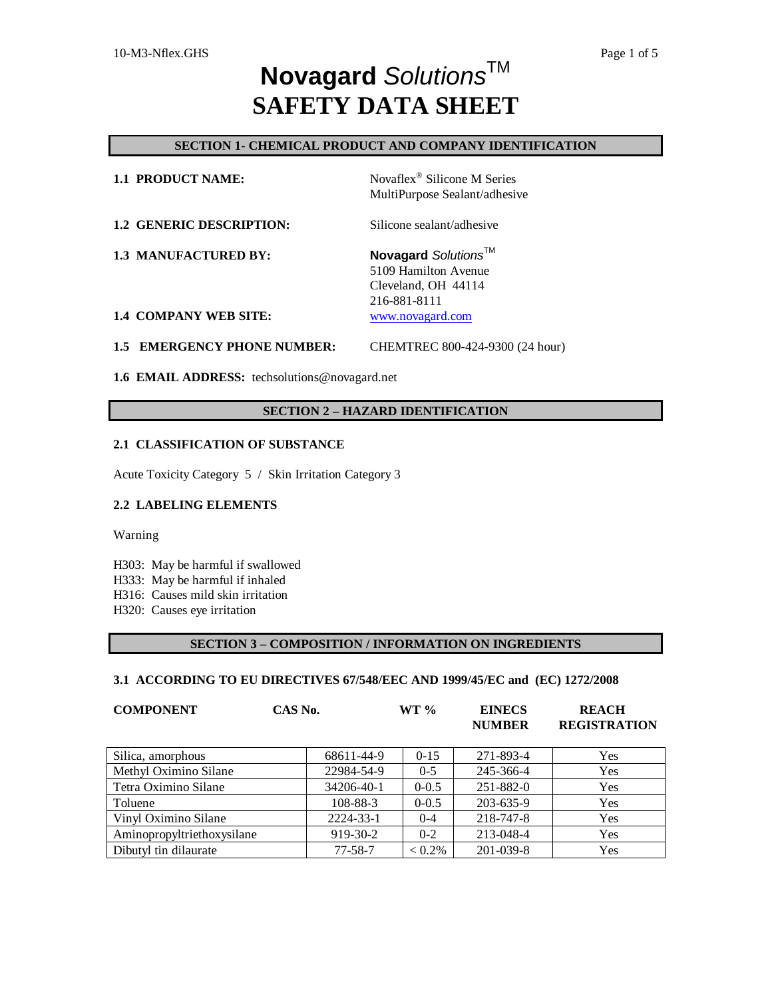# **SECTION 1- CHEMICAL PRODUCT AND COMPANY IDENTIFICATION**

| <b>1.1 PRODUCT NAME:</b>     | Novaflex <sup>®</sup> Silicone M Series<br>MultiPurpose Sealant/adhesive           |
|------------------------------|------------------------------------------------------------------------------------|
| 1.2 GENERIC DESCRIPTION:     | Silicone sealant/adhesive                                                          |
| <b>1.3 MANUFACTURED BY:</b>  | Novagard Solutions™<br>5109 Hamilton Avenue<br>Cleveland, OH 44114<br>216-881-8111 |
| <b>1.4 COMPANY WEB SITE:</b> | www.novagard.com                                                                   |

# **1.5 EMERGENCY PHONE NUMBER:** CHEMTREC 800-424-9300 (24 hour)

**1.6 EMAIL ADDRESS:** techsolutions@novagard.net

# **SECTION 2 – HAZARD IDENTIFICATION**

# **2.1 CLASSIFICATION OF SUBSTANCE**

Acute Toxicity Category 5 / Skin Irritation Category 3

# **2.2 LABELING ELEMENTS**

Warning

H303: May be harmful if swallowed

- H333: May be harmful if inhaled
- H316: Causes mild skin irritation
- H320: Causes eye irritation

# **SECTION 3 – COMPOSITION / INFORMATION ON INGREDIENTS**

# **3.1 ACCORDING TO EU DIRECTIVES 67/548/EEC AND 1999/45/EC and (EC) 1272/2008**

| <b>COMPONENT</b>           | CAS No.       | $WT \%$   | <b>EINECS</b><br><b>NUMBER</b> | <b>REACH</b><br><b>REGISTRATION</b> |
|----------------------------|---------------|-----------|--------------------------------|-------------------------------------|
| Silica, amorphous          | 68611-44-9    | $0 - 15$  | 271-893-4                      | Yes                                 |
| Methyl Oximino Silane      | 22984-54-9    | $0 - 5$   | 245-366-4                      | Yes                                 |
| Tetra Oximino Silane       | 34206-40-1    | $0 - 0.5$ | 251-882-0                      | Yes                                 |
| Toluene                    | 108-88-3      | $0 - 0.5$ | 203-635-9                      | Yes                                 |
| Vinyl Oximino Silane       | 2224-33-1     | $0 - 4$   | 218-747-8                      | Yes                                 |
| Aminopropyltriethoxysilane | 919-30-2      | $0 - 2$   | 213-048-4                      | Yes                                 |
| Dibutyl tin dilaurate      | $77 - 58 - 7$ | $< 0.2\%$ | 201-039-8                      | Yes                                 |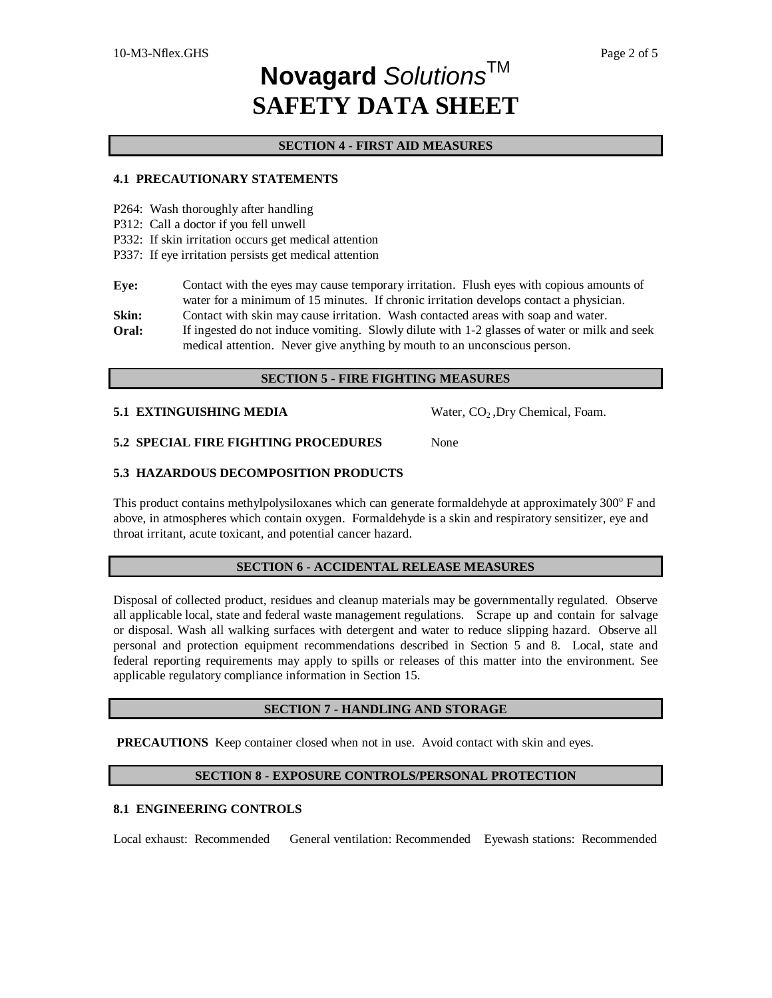## **SECTION 4 - FIRST AID MEASURES**

## **4.1 PRECAUTIONARY STATEMENTS**

- P264: Wash thoroughly after handling
- P312: Call a doctor if you fell unwell
- P332: If skin irritation occurs get medical attention
- P337: If eye irritation persists get medical attention

**Eye:** Contact with the eyes may cause temporary irritation. Flush eyes with copious amounts of water for a minimum of 15 minutes. If chronic irritation develops contact a physician.

- **Skin:** Contact with skin may cause irritation. Wash contacted areas with soap and water.
- **Oral:** If ingested do not induce vomiting. Slowly dilute with 1-2 glasses of water or milk and seek medical attention. Never give anything by mouth to an unconscious person.

#### **SECTION 5 - FIRE FIGHTING MEASURES**

#### **5.1 EXTINGUISHING MEDIA** Water, CO<sub>2</sub>, Dry Chemical, Foam.

**5.2 SPECIAL FIRE FIGHTING PROCEDURES** None

### **5.3 HAZARDOUS DECOMPOSITION PRODUCTS**

This product contains methylpolysiloxanes which can generate formaldehyde at approximately 300° F and above, in atmospheres which contain oxygen. Formaldehyde is a skin and respiratory sensitizer, eye and throat irritant, acute toxicant, and potential cancer hazard.

#### **SECTION 6 - ACCIDENTAL RELEASE MEASURES**

Disposal of collected product, residues and cleanup materials may be governmentally regulated. Observe all applicable local, state and federal waste management regulations. Scrape up and contain for salvage or disposal. Wash all walking surfaces with detergent and water to reduce slipping hazard. Observe all personal and protection equipment recommendations described in Section 5 and 8. Local, state and federal reporting requirements may apply to spills or releases of this matter into the environment. See applicable regulatory compliance information in Section 15.

#### **SECTION 7 - HANDLING AND STORAGE**

**PRECAUTIONS** Keep container closed when not in use. Avoid contact with skin and eyes.

# **SECTION 8 - EXPOSURE CONTROLS/PERSONAL PROTECTION**

# **8.1 ENGINEERING CONTROLS**

Local exhaust: Recommended General ventilation: Recommended Eyewash stations: Recommended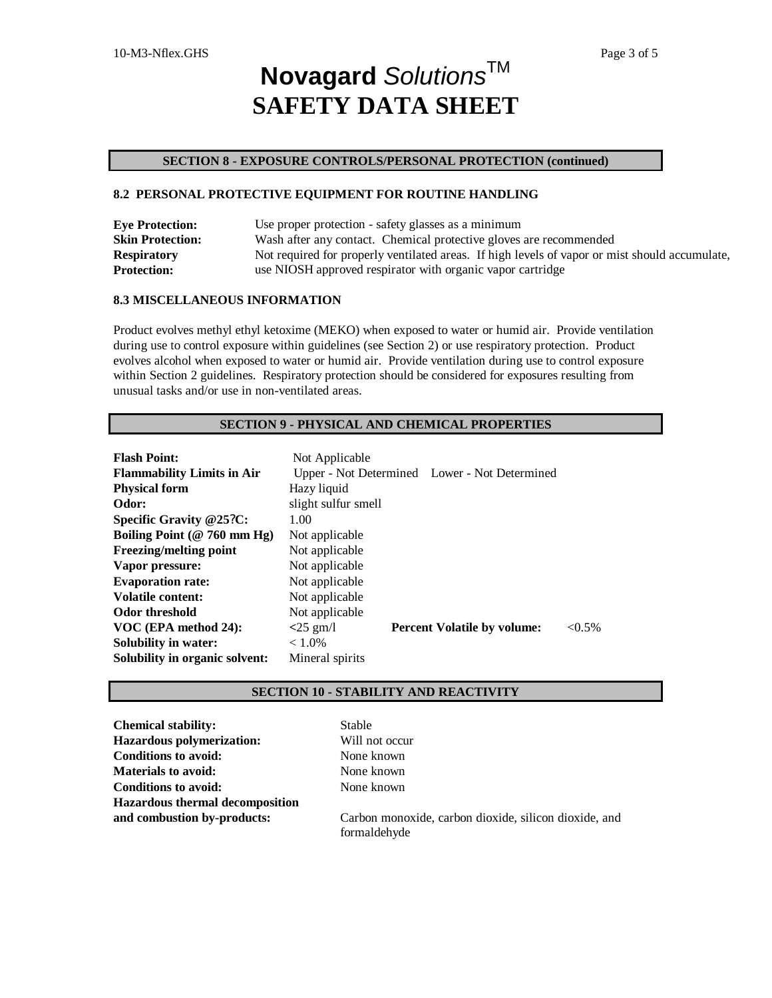# **SECTION 8 - EXPOSURE CONTROLS/PERSONAL PROTECTION (continued)**

# **8.2 PERSONAL PROTECTIVE EQUIPMENT FOR ROUTINE HANDLING**

| <b>Eye Protection:</b>  | Use proper protection - safety glasses as a minimum                                            |
|-------------------------|------------------------------------------------------------------------------------------------|
| <b>Skin Protection:</b> | Wash after any contact. Chemical protective gloves are recommended                             |
| <b>Respiratory</b>      | Not required for properly ventilated areas. If high levels of vapor or mist should accumulate, |
| <b>Protection:</b>      | use NIOSH approved respirator with organic vapor cartridge                                     |

# **8.3 MISCELLANEOUS INFORMATION**

Product evolves methyl ethyl ketoxime (MEKO) when exposed to water or humid air. Provide ventilation during use to control exposure within guidelines (see Section 2) or use respiratory protection. Product evolves alcohol when exposed to water or humid air. Provide ventilation during use to control exposure within Section 2 guidelines. Respiratory protection should be considered for exposures resulting from unusual tasks and/or use in non-ventilated areas.

# **SECTION 9 - PHYSICAL AND CHEMICAL PROPERTIES**

| <b>Flash Point:</b>               | Not Applicable      |                                               |           |
|-----------------------------------|---------------------|-----------------------------------------------|-----------|
| <b>Flammability Limits in Air</b> |                     | Upper - Not Determined Lower - Not Determined |           |
| <b>Physical form</b>              | Hazy liquid         |                                               |           |
| Odor:                             | slight sulfur smell |                                               |           |
| Specific Gravity @25?C:           | 1.00                |                                               |           |
| Boiling Point ( $@ 760$ mm Hg)    | Not applicable      |                                               |           |
| <b>Freezing/melting point</b>     | Not applicable      |                                               |           |
| Vapor pressure:                   | Not applicable      |                                               |           |
| <b>Evaporation rate:</b>          | Not applicable      |                                               |           |
| <b>Volatile content:</b>          | Not applicable      |                                               |           |
| Odor threshold                    | Not applicable      |                                               |           |
| VOC (EPA method 24):              | $<$ 25 gm/l         | <b>Percent Volatile by volume:</b>            | $< 0.5\%$ |
| <b>Solubility in water:</b>       | $< 1.0\%$           |                                               |           |
| Solubility in organic solvent:    | Mineral spirits     |                                               |           |

# **SECTION 10 - STABILITY AND REACTIVITY**

| <b>Chemical stability:</b>             | <b>Stable</b>                                         |
|----------------------------------------|-------------------------------------------------------|
| <b>Hazardous polymerization:</b>       | Will not occur                                        |
| <b>Conditions to avoid:</b>            | None known                                            |
| <b>Materials to avoid:</b>             | None known                                            |
| <b>Conditions to avoid:</b>            | None known                                            |
| <b>Hazardous thermal decomposition</b> |                                                       |
| and combustion by-products:            | Carbon monoxide, carbon dioxide, silicon dioxide, and |
|                                        | formaldehyde                                          |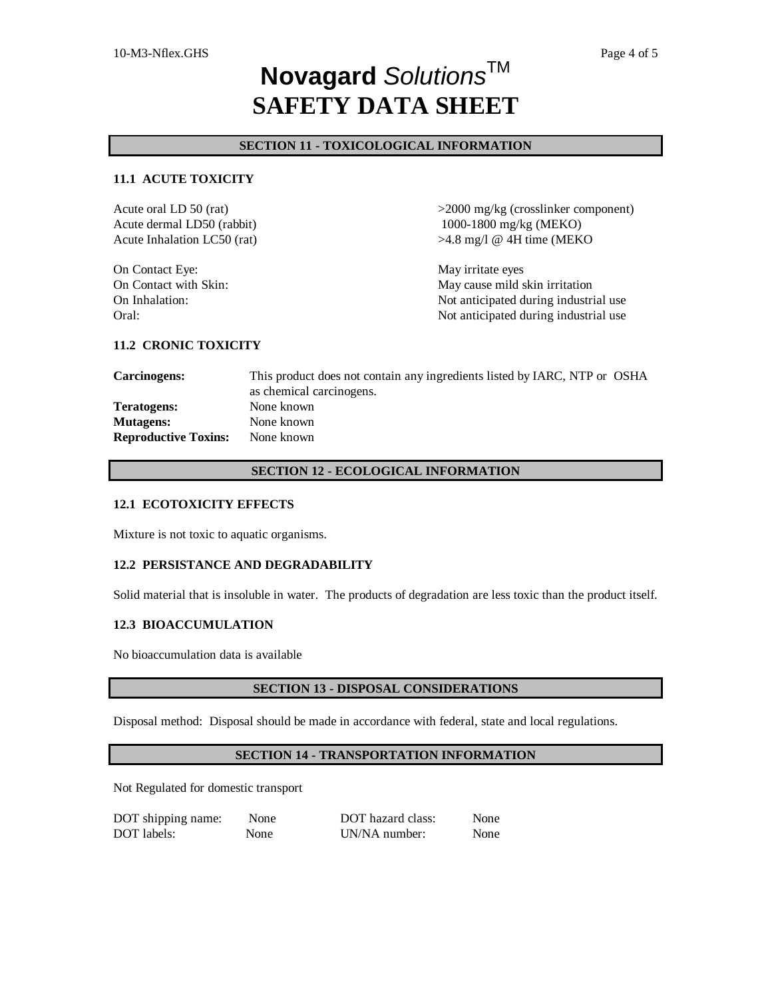# **SECTION 11 - TOXICOLOGICAL INFORMATION**

# **11.1 ACUTE TOXICITY**

| Acute oral LD 50 (rat)      | $>$ 2000 mg/kg (crosslinker component) |
|-----------------------------|----------------------------------------|
| Acute dermal LD50 (rabbit)  | 1000-1800 mg/kg (MEKO)                 |
| Acute Inhalation LC50 (rat) | $>4.8$ mg/l @ 4H time (MEKO            |
| On Contact Eye:             | May irritate eyes                      |
| On Contact with Skin:       | May cause mild skin irritation         |
| On Inhalation:              | Not anticipated during industrial use  |
| Oral:                       | Not anticipated during industrial use  |

#### **11.2 CRONIC TOXICITY**

**Carcinogens:** This product does not contain any ingredients listed by IARC, NTP or OSHA as chemical carcinogens. **Teratogens:** None known **Mutagens:** None known **Reproductive Toxins:** None known

# **SECTION 12 - ECOLOGICAL INFORMATION**

#### **12.1 ECOTOXICITY EFFECTS**

Mixture is not toxic to aquatic organisms.

#### **12.2 PERSISTANCE AND DEGRADABILITY**

Solid material that is insoluble in water. The products of degradation are less toxic than the product itself.

## **12.3 BIOACCUMULATION**

No bioaccumulation data is available

#### **SECTION 13 - DISPOSAL CONSIDERATIONS**

Disposal method: Disposal should be made in accordance with federal, state and local regulations.

#### **SECTION 14 - TRANSPORTATION INFORMATION**

Not Regulated for domestic transport

| DOT shipping name: | None | DOT hazard class: | None |
|--------------------|------|-------------------|------|
| DOT labels:        | None | UN/NA number:     | None |